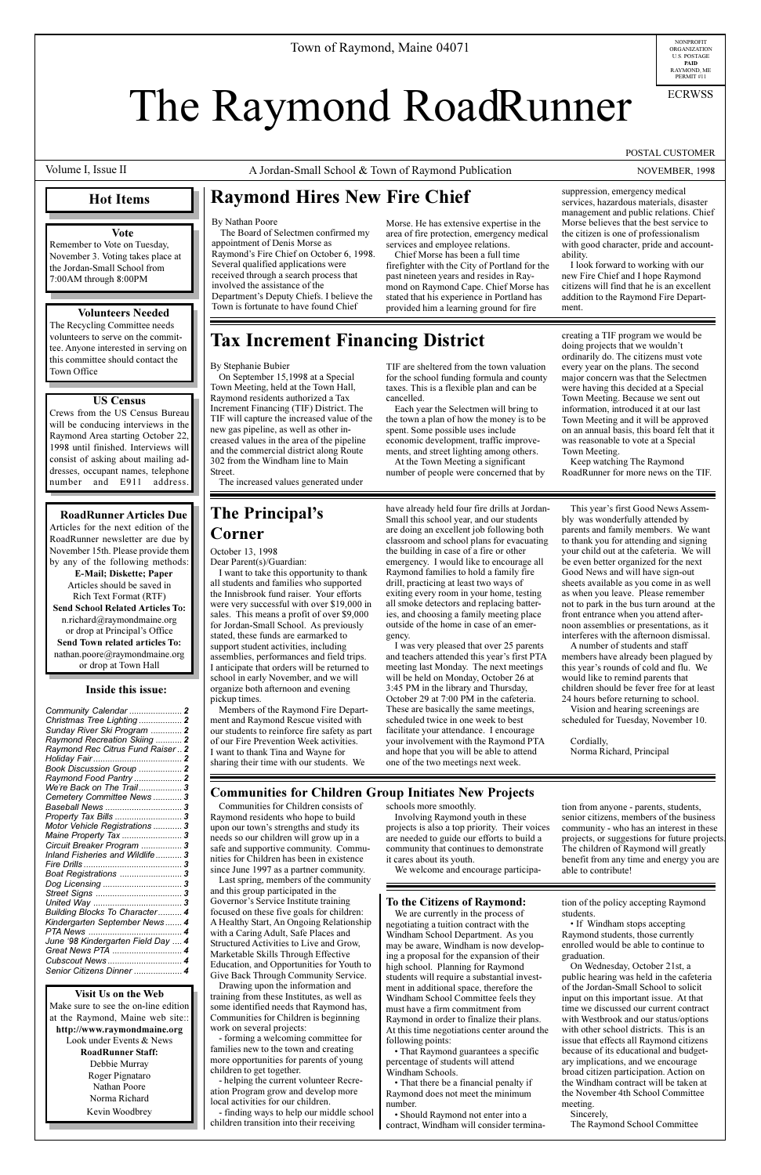**Visit Us on the Web** Make sure to see the on-line edition at the Raymond, Maine web site:: **http://www.raymondmaine.org** Look under Events & News **RoadRunner Staff:** Debbie Murray Roger Pignataro Nathan Poore Norma Richard Kevin Woodbrey

NONPROFIT<br>ORGANIZATION U.S. POSTAGE **PAID** RAYMOND, ME PERMIT #11

# The Raymond RoadRunner

## **The Principal's Corner**

Volume I, Issue II

A Jordan-Small School & Town of Raymond Publication NOVEMBER, 1998

ECRWSS

POSTAL CUSTOMER

### **Hot Items**

## **Raymond Hires New Fire Chief**

## **Tax Increment Financing District**

#### By Stephanie Bubier

On September 15,1998 at a Special Town Meeting, held at the Town Hall, Raymond residents authorized a Tax Increment Financing (TIF) District. The TIF will capture the increased value of the new gas pipeline, as well as other increased values in the area of the pipeline and the commercial district along Route 302 from the Windham line to Main Street.

The increased values generated under

TIF are sheltered from the town valuation for the school funding formula and county taxes. This is a flexible plan and can be cancelled.

Each year the Selectmen will bring to the town a plan of how the money is to be spent. Some possible uses include economic development, traffic improvements, and street lighting among others.

At the Town Meeting a significant number of people were concerned that by creating a TIF program we would be doing projects that we wouldn't ordinarily do. The citizens must vote every year on the plans. The second major concern was that the Selectmen were having this decided at a Special Town Meeting. Because we sent out information, introduced it at our last Town Meeting and it will be approved on an annual basis, this board felt that it was reasonable to vote at a Special Town Meeting.

Keep watching The Raymond RoadRunner for more news on the TIF.

#### By Nathan Poore

The Board of Selectmen confirmed my appointment of Denis Morse as Raymond's Fire Chief on October 6, 1998. Several qualified applications were received through a search process that involved the assistance of the Department's Deputy Chiefs. I believe the Town is fortunate to have found Chief

Morse. He has extensive expertise in the area of fire protection, emergency medical services and employee relations.

Chief Morse has been a full time firefighter with the City of Portland for the past nineteen years and resides in Raymond on Raymond Cape. Chief Morse has stated that his experience in Portland has provided him a learning ground for fire

suppression, emergency medical services, hazardous materials, disaster management and public relations. Chief Morse believes that the best service to the citizen is one of professionalism with good character, pride and accountability.

This year's first Good News Assembly was wonderfully attended by parents and family members. We want to thank you for attending and signing your child out at the cafeteria. We will be even better organized for the next Good News and will have sign-out sheets available as you come in as well as when you leave. Please remember not to park in the bus turn around at the front entrance when you attend afternoon assemblies or presentations, as it interferes with the afternoon dismissal.

I look forward to working with our new Fire Chief and I hope Raymond citizens will find that he is an excellent addition to the Raymond Fire Department.

October 13, 1998 Dear Parent(s)/Guardian:

I want to take this opportunity to thank all students and families who supported the Innisbrook fund raiser. Your efforts were very successful with over \$19,000 in sales. This means a profit of over \$9,000 for Jordan-Small School. As previously stated, these funds are earmarked to support student activities, including assemblies, performances and field trips. I anticipate that orders will be returned to school in early November, and we will organize both afternoon and evening pickup times.

Members of the Raymond Fire Department and Raymond Rescue visited with our students to reinforce fire safety as part of our Fire Prevention Week activities. I want to thank Tina and Wayne for sharing their time with our students. We

#### have already held four fire drills at Jordan-Small this school year, and our students are doing an excellent job following both classroom and school plans for evacuating the building in case of a fire or other emergency. I would like to encourage all Raymond families to hold a family fire drill, practicing at least two ways of exiting every room in your home, testing all smoke detectors and replacing batteries, and choosing a family meeting place outside of the home in case of an emergency.

| Christmas Tree Lighting  2<br>Sunday River Ski Program  2 |  |
|-----------------------------------------------------------|--|
|                                                           |  |
| Raymond Recreation Skiing  2                              |  |
| Raymond Rec Citrus Fund Raiser  2                         |  |
|                                                           |  |
| Book Discussion Group  2                                  |  |
| Raymond Food Pantry  2                                    |  |
| We're Back on The Trail 3                                 |  |
| Cemetery Committee News 3                                 |  |
| Baseball News  3                                          |  |
| Property Tax Bills  3                                     |  |
| Motor Vehicle Registrations  3                            |  |
| Maine Property Tax  3                                     |  |
| Circuit Breaker Program  3                                |  |
| Inland Fisheries and Wildlife 3                           |  |
|                                                           |  |

I was very pleased that over 25 parents and teachers attended this year's first PTA meeting last Monday. The next meetings will be held on Monday, October 26 at 3:45 PM in the library and Thursday, October 29 at 7:00 PM in the cafeteria. These are basically the same meetings, scheduled twice in one week to best facilitate your attendance. I encourage your involvement with the Raymond PTA and hope that you will be able to attend one of the two meetings next week.

## **Communities for Children Group Initiates New Projects**

• That Raymond guarantees a specific percentage of students will attend Windham Schools.

• That there be a financial penalty if Raymond does not meet the minimum number.

• If Windham stops accepting Raymond students, those currently enrolled would be able to continue to graduation.

A number of students and staff members have already been plagued by this year's rounds of cold and flu. We would like to remind parents that children should be fever free for at least 24 hours before returning to school.

Vision and hearing screenings are scheduled for Tuesday, November 10.

Cordially, Norma Richard, Principal

Communities for Children consists of Raymond residents who hope to build upon our town's strengths and study its needs so our children will grow up in a safe and supportive community. Communities for Children has been in existence since June 1997 as a partner community. Last spring, members of the community and this group participated in the Governor's Service Institute training focused on these five goals for children: A Healthy Start, An Ongoing Relationship with a Caring Adult, Safe Places and Structured Activities to Live and Grow, Marketable Skills Through Effective Education, and Opportunities for Youth to Give Back Through Community Service. Drawing upon the information and training from these Institutes, as well as some identified needs that Raymond has, Communities for Children is beginning

work on several projects:

- forming a welcoming committee for families new to the town and creating more opportunities for parents of young children to get together.

- helping the current volunteer Recreation Program grow and develop more local activities for our children.

- finding ways to help our middle school children transition into their receiving

schools more smoothly. Involving Raymond youth in these projects is also a top priority. Their voices are needed to guide our efforts to build a

community that continues to demonstrate

it cares about its youth.

We welcome and encourage participa-

#### **Inside this issue:**

| Boat Registrations  3              |
|------------------------------------|
|                                    |
|                                    |
|                                    |
| Building Blocks To Character 4     |
| Kindergarten September News 4      |
|                                    |
| June '98 Kindergarten Field Day  4 |
| Great News PTA  4                  |
|                                    |
| Senior Citizens Dinner  4          |

**RoadRunner Articles Due** Articles for the next edition of the RoadRunner newsletter are due by November 15th. Please provide them by any of the following methods:

**E-Mail; Diskette; Paper** Articles should be saved in Rich Text Format (RTF) **Send School Related Articles To:** n.richard@raymondmaine.org or drop at Principal's Office **Send Town related articles To:** nathan.poore@raymondmaine.org or drop at Town Hall

#### **Vote**

Remember to Vote on Tuesday, November 3. Voting takes place at the Jordan-Small School from 7:00AM through 8:00PM

#### **Volunteers Needed**

The Recycling Committee needs volunteers to serve on the committee. Anyone interested in serving on this committee should contact the Town Office

#### **US Census**

Crews from the US Census Bureau will be conducing interviews in the Raymond Area starting October 22, 1998 until finished. Interviews will consist of asking about mailing addresses, occupant names, telephone number and E911 address.

#### **To the Citizens of Raymond:**

We are currently in the process of negotiating a tuition contract with the Windham School Department. As you may be aware, Windham is now developing a proposal for the expansion of their high school. Planning for Raymond students will require a substantial investment in additional space, therefore the Windham School Committee feels they must have a firm commitment from Raymond in order to finalize their plans. At this time negotiations center around the following points:

 Should Raymond not enter into a contract, Windham will consider termina-

tion from anyone - parents, students, senior citizens, members of the business community - who has an interest in these projects, or suggestions for future projects. The children of Raymond will greatly benefit from any time and energy you are able to contribute!

tion of the policy accepting Raymond students.

On Wednesday, October 21st, a public hearing was held in the cafeteria of the Jordan-Small School to solicit input on this important issue. At that time we discussed our current contract with Westbrook and our status/options with other school districts. This is an issue that effects all Raymond citizens because of its educational and budgetary implications, and we encourage broad citizen participation. Action on the Windham contract will be taken at the November 4th School Committee meeting.

Sincerely, The Raymond School Committee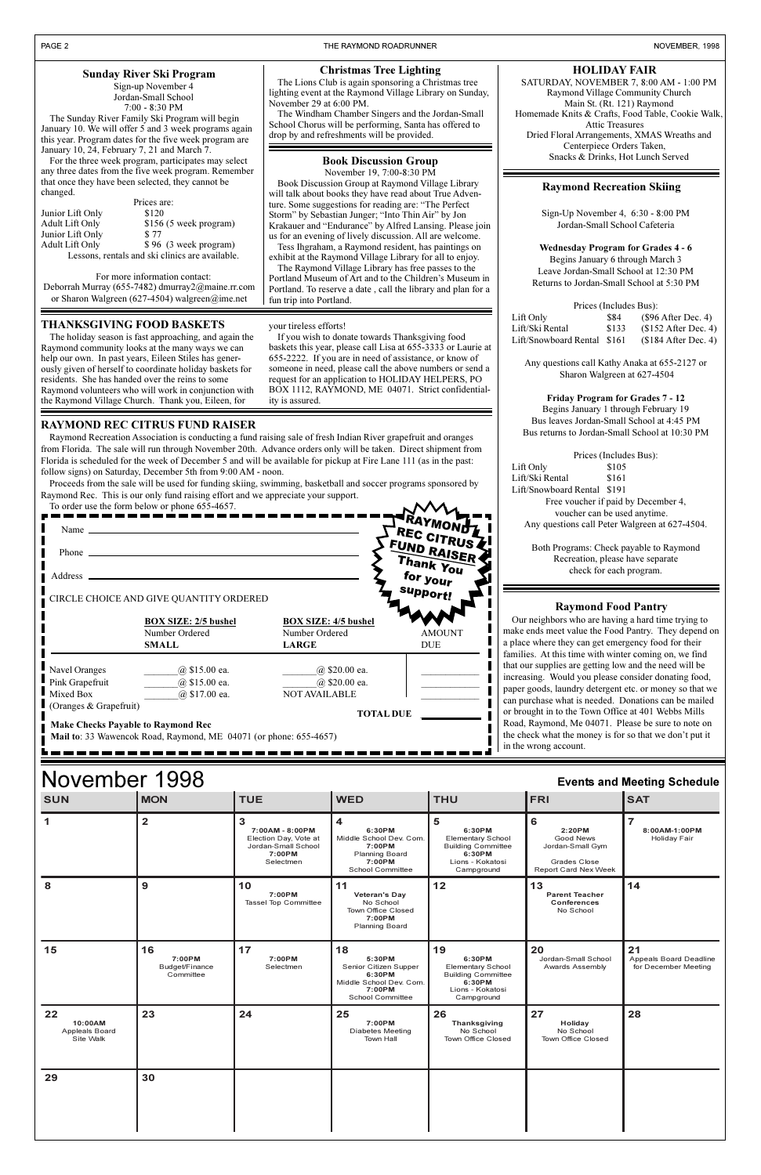SATURDAY, NOVEMBER 7, 8:00 AM - 1:00 PM Raymond Village Community Church Main St. (Rt. 121) Raymond Homemade Knits & Crafts, Food Table, Cookie Walk, Attic Treasures Dried Floral Arrangements, XMAS Wreaths and Centerpiece Orders Taken, **Snacks & Drinks, Hot Lunch Served** Snacks A Drinks, Hot Lunch Served

#### **HOLIDAY FAIR**

Portland. To reserve a date , call the library and plan for a

fun trip into Portland.

#### **Raymond Food Pantry**

ur neighbors who are having a hard time trying to e ends meet value the Food Pantry. They depend on ace where they can get emergency food for their ilies. At this time with winter coming on, we find our supplies are getting low and the need will be easing. Would you please consider donating food, er goods, laundry detergent etc. or money so that we purchase what is needed. Donations can be mailed rought in to the Town Office at 401 Webbs Mills d, Raymond, Me 04071. Please be sure to note on check what the money is for so that we don't put it ie wrong account.

Proceeds from the sale will be used for funding skiing, swimming, basketball and soccer programs sponsored by Raymond Rec. This is our only fund raising effort and we appreciate your support.  $\mathcal{M}$ 

| November 1998<br><b>Events and Meeting Schedule</b> |                                             |                                                                                             |                                                                                                                 |                                                                                                                   |                                                                                                                  |                                                             |
|-----------------------------------------------------|---------------------------------------------|---------------------------------------------------------------------------------------------|-----------------------------------------------------------------------------------------------------------------|-------------------------------------------------------------------------------------------------------------------|------------------------------------------------------------------------------------------------------------------|-------------------------------------------------------------|
| <b>SUN</b>                                          | <b>MON</b>                                  | <b>TUE</b>                                                                                  | <b>WED</b>                                                                                                      | <b>THU</b>                                                                                                        | <b>FRI</b>                                                                                                       | <b>SAT</b>                                                  |
|                                                     | $\overline{\mathbf{2}}$                     | 3<br>7:00AM - 8:00PM<br>Election Day, Vote at<br>Jordan-Small School<br>7:00PM<br>Selectmen | 4<br>6:30PM<br>Middle School Dev. Com.<br>7:00PM<br><b>Planning Board</b><br>7:00PM<br><b>School Committee</b>  | 5<br>6:30PM<br><b>Elementary School</b><br><b>Building Committee</b><br>6:30PM<br>Lions - Kokatosi<br>Campground  | $6\phantom{1}6$<br>2:20PM<br>Good News<br>Jordan-Small Gym<br><b>Grades Close</b><br><b>Report Card Nex Week</b> | $\overline{7}$<br>8:00AM-1:00PM<br><b>Holiday Fair</b>      |
| 8                                                   | 9                                           | 10<br>7:00PM<br><b>Tassel Top Committee</b>                                                 | 11<br><b>Veteran's Day</b><br>No School<br>Town Office Closed<br>7:00PM<br><b>Planning Board</b>                | 12                                                                                                                | 13<br><b>Parent Teacher</b><br><b>Conferences</b><br>No School                                                   | 14                                                          |
| 15                                                  | 16<br>7:00PM<br>Budget/Finance<br>Committee | 17<br>7:00PM<br>Selectmen                                                                   | 18<br>5:30PM<br>Senior Citizen Supper<br>6:30PM<br>Middle School Dev. Com.<br>7:00PM<br><b>School Committee</b> | 19<br>6:30PM<br><b>Elementary School</b><br><b>Building Committee</b><br>6:30PM<br>Lions - Kokatosi<br>Campground | 20<br>Jordan-Small School<br><b>Awards Assembly</b>                                                              | 21<br><b>Appeals Board Deadline</b><br>for December Meeting |
| 22<br>10:00AM<br><b>Appleals Board</b><br>Site Walk | 23                                          | 24                                                                                          | 25<br>7:00PM<br>Diabetes Meeting<br><b>Town Hall</b>                                                            | 26<br>Thanksgiving<br>No School<br><b>Town Office Closed</b>                                                      | 27<br>Holiday<br>No School<br>Town Office Closed                                                                 | 28                                                          |
| 29                                                  | 30                                          |                                                                                             |                                                                                                                 |                                                                                                                   |                                                                                                                  |                                                             |

| <b>Sunday River Ski Program</b><br>Sign-up November 4<br>Jordan-Small School<br>$7:00 - 8:30$ PM<br>The Sunday River Family Ski Program will begin<br>January 10. We will offer 5 and 3 week programs again<br>this year. Program dates for the five week program are |                                                                                                                                                                                                                                | <b>Christmas Tree Lighting</b><br>The Lions Club is again sponsoring a Christmas tree<br>lighting event at the Raymond Village Library on Sunday,<br>November 29 at $6:00$ PM.<br>The Windham Chamber Singers and the Jordan-Small<br>School Chorus will be performing, Santa has offered to<br>drop by and refreshments will be provided.         |  |
|-----------------------------------------------------------------------------------------------------------------------------------------------------------------------------------------------------------------------------------------------------------------------|--------------------------------------------------------------------------------------------------------------------------------------------------------------------------------------------------------------------------------|----------------------------------------------------------------------------------------------------------------------------------------------------------------------------------------------------------------------------------------------------------------------------------------------------------------------------------------------------|--|
| changed.                                                                                                                                                                                                                                                              | January 10, 24, February 7, 21 and March 7.<br>For the three week program, participates may select<br>any three dates from the five week program. Remember<br>that once they have been selected, they cannot be<br>Prices are: | <b>Book Discussion Group</b><br>November 19, 7:00-8:30 PM<br>Book Discussion Group at Raymond Village Library<br>will talk about books they have read about True Adven-<br>ture. Some suggestions for reading are: "The Perfect                                                                                                                    |  |
| Junior Lift Only<br>Adult Lift Only<br>Junior Lift Only<br>Adult Lift Only                                                                                                                                                                                            | \$120<br>$$156$ (5 week program)<br>\$77<br>\$96 (3 week program)<br>Lessons, rentals and ski clinics are available.                                                                                                           | Storm" by Sebastian Junger; "Into Thin Air" by Jon<br>Krakauer and "Endurance" by Alfred Lansing. Please join<br>us for an evening of lively discussion. All are welcome.<br>Tess Ihgraham, a Raymond resident, has paintings on<br>exhibit at the Raymond Village Library for all to enjoy.<br>The Raymond Village Library has free passes to the |  |
| For more information contact:                                                                                                                                                                                                                                         |                                                                                                                                                                                                                                | Portland Museum of Art and to the Children's Museum in                                                                                                                                                                                                                                                                                             |  |

#### **RAYMOND REC CITRUS FUND RAISER**

Raymond Recreation Association is conducting a fund raising sale of fresh Indian River grapefruit and oranges from Florida. The sale will run through November 20th. Advance orders only will be taken. Direct shipment from Florida is scheduled for the week of December 5 and will be available for pickup at Fire Lane 111 (as in the past: follow signs) on Saturday, December 5th from 9:00 AM - noon.

To order use the form below or phone 655-4657.

| Name $\_\_$<br>Phone $\equiv$ |                                                                                                                |                                                               | <b>TERAYMOND</b><br>REC CITRUS<br>FUND RAISER<br>Thank You |
|-------------------------------|----------------------------------------------------------------------------------------------------------------|---------------------------------------------------------------|------------------------------------------------------------|
| Address _                     |                                                                                                                |                                                               | for your                                                   |
|                               | CIRCLE CHOICE AND GIVE QUANTITY ORDERED                                                                        |                                                               | support!                                                   |
|                               | <b>BOX SIZE: 2/5 bushel</b><br>Number Ordered<br><b>SMALL</b>                                                  | <b>BOX SIZE: 4/5 bushel</b><br>Number Ordered<br><b>LARGE</b> | <b>AMOUNT</b><br><b>DUE</b>                                |
| Navel Oranges                 | $@$ \$15.00 ea.                                                                                                | @ \$20.00 ea.                                                 |                                                            |
| Pink Grapefruit               | $(a)$ \$15.00 ea.                                                                                              | @ \$20.00 ea.                                                 |                                                            |
| $\blacksquare$ Mixed Box      | $\omega$ \$17.00 ea.                                                                                           | NOT AVAILABLE                                                 |                                                            |
| Cranges & Grapefruit)         |                                                                                                                | <b>TOTAL DUE</b>                                              |                                                            |
|                               | <b>Make Checks Payable to Raymond Rec</b><br>Mail to: 33 Wawencok Road, Raymond, ME 04071 (or phone: 655-4657) |                                                               |                                                            |

Deborrah Murray (655-7482) dmurray2@maine.rr.com or Sharon Walgreen (627-4504) walgreen@ime.net

#### **Raymond Recreation Skiing**

Sign-Up November 4, 6:30 - 8:00 PM Jordan-Small School Cafeteria

**Wednesday Program for Grades 4 - 6** Begins January 6 through March 3 Leave Jordan-Small School at 12:30 PM Returns to Jordan-Small School at 5:30 PM

| Prices (Includes Bus):      |       |                       |  |  |
|-----------------------------|-------|-----------------------|--|--|
| Lift Only                   | \$84  | $(\$96$ After Dec. 4) |  |  |
| Lift/Ski Rental             | \$133 | $$152$ After Dec. 4)  |  |  |
| Lift/Snowboard Rental \$161 |       | $$184$ After Dec. 4)  |  |  |

Any questions call Kathy Anaka at 655-2127 or Sharon Walgreen at 627-4504

**Friday Program for Grades 7 - 12** Begins January 1 through February 19 Bus leaves Jordan-Small School at 4:45 PM Bus returns to Jordan-Small School at 10:30 PM

Prices (Includes Bus): Lift Only \$105 Lift/Ski Rental \$161 Lift/Snowboard Rental \$191 Free voucher if paid by December 4, voucher can be used anytime. Any questions call Peter Walgreen at 627-4504.

Both Programs: Check payable to Raymond Recreation, please have separate check for each program.

#### **THANKSGIVING FOOD BASKETS**

The holiday season is fast approaching, and again the Raymond community looks at the many ways we can help our own. In past years, Eileen Stiles has generously given of herself to coordinate holiday baskets for residents. She has handed over the reins to some Raymond volunteers who will work in conjunction with the Raymond Village Church. Thank you, Eileen, for

your tireless efforts!

If you wish to donate towards Thanksgiving food baskets this year, please call Lisa at 655-3333 or Laurie at 655-2222. If you are in need of assistance, or know of someone in need, please call the above numbers or send a request for an application to HOLIDAY HELPERS, PO BOX 1112, RAYMOND, ME 04071. Strict confidential-

ity is assured.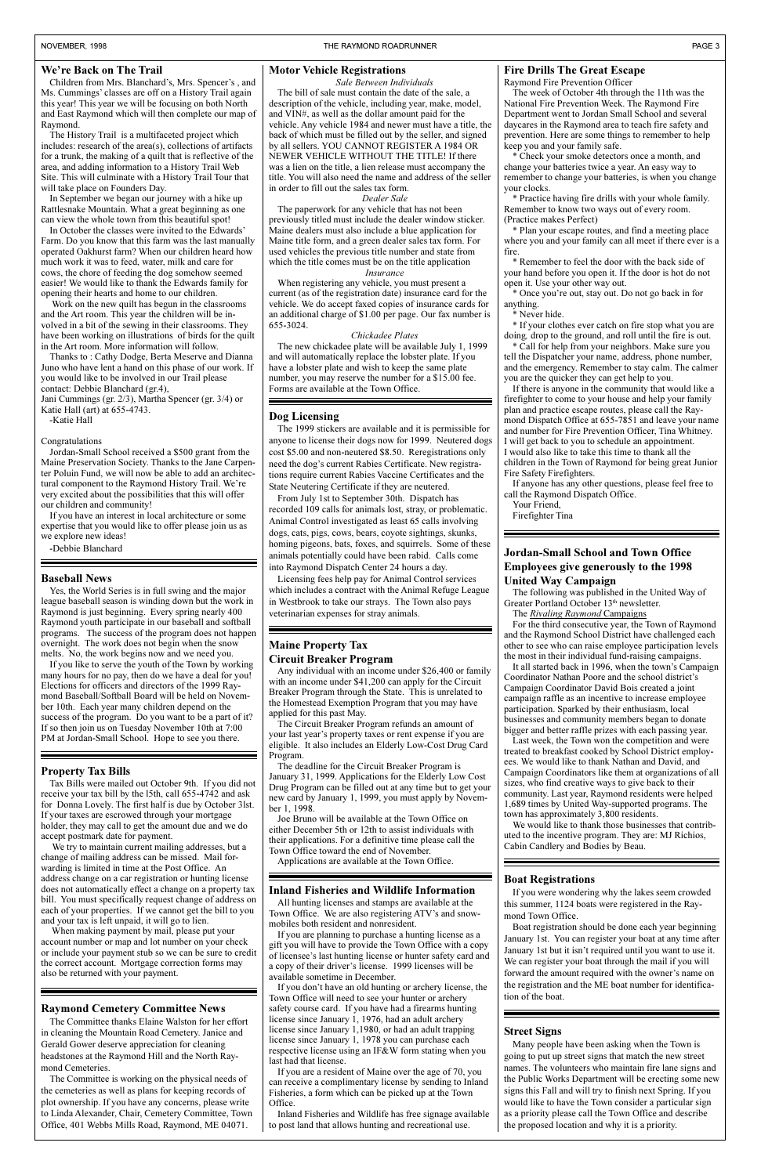#### We're Back on The Trail

Children from Mrs. Blanchard's, Mrs. Spencer's, and Ms. Cummings' classes are off on a History Trail again this year! This year we will be focusing on both North and East Raymond which will then complete our map of Raymond.

The History Trail is a multifaceted project which includes: research of the area(s), collections of artifacts for a trunk, the making of a quilt that is reflective of the area, and adding information to a History Trail Web Site. This will culminate with a History Trail Tour that will take place on Founders Day.

In September we began our journey with a hike up Rattlesnake Mountain. What a great beginning as one can view the whole town from this beautiful spot!

In October the classes were invited to the Edwards Farm. Do you know that this farm was the last manually operated Oakhurst farm? When our children heard how much work it was to feed, water, milk and care for cows, the chore of feeding the dog somehow seemed easier! We would like to thank the Edwards family for opening their hearts and home to our children.

 Work on the new quilt has begun in the classrooms and the Art room. This year the children will be involved in a bit of the sewing in their classrooms. They have been working on illustrations of birds for the quilt in the Art room. More information will follow.

Thanks to : Cathy Dodge, Berta Meserve and Dianna Juno who have lent a hand on this phase of our work. If you would like to be involved in our Trail please contact: Debbie Blanchard (gr.4),

Jani Cummings (gr. 2/3), Martha Spencer (gr. 3/4) or Katie Hall (art) at 655-4743.

-Katie Hall

#### Congratulations

Jordan-Small School received a \$500 grant from the Maine Preservation Society. Thanks to the Jane Carpenter Poluin Fund, we will now be able to add an architectural component to the Raymond History Trail. We're very excited about the possibilities that this will offer our children and community!

> If you don't have an old hunting or archery license, the Town Office will need to see your hunter or archery safety course card. If you have had a firearms hunting license since January 1, 1976, had an adult archery license since January 1,1980, or had an adult trapping license since January 1, 1978 you can purchase each respective license using an IF&W form stating when you last had that license.

If you have an interest in local architecture or some expertise that you would like to offer please join us as we explore new ideas!

-Debbie Blanchard

#### **Boat Registrations**

If you were wondering why the lakes seem crowded this summer, 1124 boats were registered in the Raymond Town Office.

Boat registration should be done each year beginning January 1st. You can register your boat at any time after January 1st but it isn't required until you want to use it. We can register your boat through the mail if you will forward the amount required with the owner's name on the registration and the ME boat number for identification of the boat.

#### **Raymond Cemetery Committee News**

The Committee thanks Elaine Walston for her effort in cleaning the Mountain Road Cemetery. Janice and Gerald Gower deserve appreciation for cleaning headstones at the Raymond Hill and the North Raymond Cemeteries.

The Committee is working on the physical needs of the cemeteries as well as plans for keeping records of plot ownership. If you have any concerns, please write to Linda Alexander, Chair, Cemetery Committee, Town Office, 401 Webbs Mills Road, Raymond, ME 04071.

#### **Inland Fisheries and Wildlife Information**

All hunting licenses and stamps are available at the Town Office. We are also registering ATV's and snowmobiles both resident and nonresident.

If you are planning to purchase a hunting license as a gift you will have to provide the Town Office with a copy of licensee's last hunting license or hunter safety card and a copy of their driver's license. 1999 licenses will be available sometime in December.

If you are a resident of Maine over the age of 70, you can receive a complimentary license by sending to Inland Fisheries, a form which can be picked up at the Town Office.

Inland Fisheries and Wildlife has free signage available to post land that allows hunting and recreational use.

#### **Motor Vehicle Registrations**

*Sale Between Individuals* The bill of sale must contain the date of the sale, a description of the vehicle, including year, make, model, and VIN#, as well as the dollar amount paid for the vehicle. Any vehicle 1984 and newer must have a title, the back of which must be filled out by the seller, and signed by all sellers. YOU CANNOT REGISTER A 1984 OR NEWER VEHICLE WITHOUT THE TITLE! If there was a lien on the title, a lien release must accompany the title. You will also need the name and address of the seller in order to fill out the sales tax form.

#### *Dealer Sale*

The paperwork for any vehicle that has not been previously titled must include the dealer window sticker. Maine dealers must also include a blue application for Maine title form, and a green dealer sales tax form. For used vehicles the previous title number and state from which the title comes must be on the title application

#### *Insurance* When registering any vehicle, you must present a current (as of the registration date) insurance card for the

vehicle. We do accept faxed copies of insurance cards for an additional charge of \$1.00 per page. Our fax number is 655-3024.

#### *Chickadee Plates*

The new chickadee plate will be available July 1, 1999 and will automatically replace the lobster plate. If you have a lobster plate and wish to keep the same plate number, you may reserve the number for a \$15.00 fee. Forms are available at the Town Office.

#### **Property Tax Bills**

Tax Bills were mailed out October 9th. If you did not receive your tax bill by the l5th, call 655-4742 and ask for Donna Lovely. The first half is due by October 3lst. If your taxes are escrowed through your mortgage holder, they may call to get the amount due and we do accept postmark date for payment.

The following was published in the United Way of Greater Portland October 13<sup>th</sup> newsletter.

It all started back in 1996, when the town's Campaign Coordinator Nathan Poore and the school district's Campaign Coordinator David Bois created a joint campaign raffle as an incentive to increase employee participation. Sparked by their enthusiasm, local businesses and community members began to donate bigger and better raffle prizes with each passing year.

We try to maintain current mailing addresses, but a change of mailing address can be missed. Mail forwarding is limited in time at the Post Office. An address change on a car registration or hunting license does not automatically effect a change on a property tax bill. You must specifically request change of address on each of your properties. If we cannot get the bill to you and your tax is left unpaid, it will go to lien. When making payment by mail, please put your account number or map and lot number on your check or include your payment stub so we can be sure to credit the correct account. Mortgage correction forms may also be returned with your payment.

#### **Maine Property Tax Circuit Breaker Program**

Any individual with an income under \$26,400 or family with an income under \$41,200 can apply for the Circuit Breaker Program through the State. This is unrelated to the Homestead Exemption Program that you may have applied for this past May.

The Circuit Breaker Program refunds an amount of your last year's property taxes or rent expense if you are eligible. It also includes an Elderly Low-Cost Drug Card Program.

The deadline for the Circuit Breaker Program is January 31, 1999. Applications for the Elderly Low Cost Drug Program can be filled out at any time but to get your new card by January 1, 1999, you must apply by November 1, 1998.

Joe Bruno will be available at the Town Office on either December 5th or 12th to assist individuals with their applications. For a definitive time please call the Town Office toward the end of November.

Applications are available at the Town Off

#### **Baseball News**

Yes, the World Series is in full swing and the major league baseball season is winding down but the work in Raymond is just beginning. Every spring nearly 400 Raymond youth participate in our baseball and softball programs. The success of the program does not happen overnight. The work does not begin when the snow melts. No, the work begins now and we need you.

If you like to serve the youth of the Town by working many hours for no pay, then do we have a deal for you! Elections for officers and directors of the 1999 Raymond Baseball/Softball Board will be held on November 10th. Each year many children depend on the success of the program. Do you want to be a part of it? If so then join us on Tuesday November 10th at 7:00 PM at Jordan-Small School. Hope to see you there.

#### **Dog Licensing**

The 1999 stickers are available and it is permissible for anyone to license their dogs now for 1999. Neutered dogs cost \$5.00 and non-neutered \$8.50. Reregistrations only need the dog's current Rabies Certificate. New registrations require current Rabies Vaccine Certificates and the State Neutering Certificate if they are neutered.

From July 1st to September 30th. Dispatch has recorded 109 calls for animals lost, stray, or problematic. Animal Control investigated as least 65 calls involving dogs, cats, pigs, cows, bears, coyote sightings, skunks, homing pigeons, bats, foxes, and squirrels. Some of these animals potentially could have been rabid. Calls come into Raymond Dispatch Center 24 hours a day.

Licensing fees help pay for Animal Control services which includes a contract with the Animal Refuge League in Westbrook to take our strays. The Town also pays veterinarian expenses for stray animals.

#### **Fire Drills The Great Escape**

Raymond Fire Prevention Officer

The week of October 4th through the 11th was the National Fire Prevention Week. The Raymond Fire Department went to Jordan Small School and several daycares in the Raymond area to teach fire safety and prevention. Here are some things to remember to help keep you and your family safe.

\* Check your smoke detectors once a month, and change your batteries twice a year. An easy way to remember to change your batteries, is when you change your clocks.

\* Practice having fire drills with your whole family. Remember to know two ways out of every room. (Practice makes Perfect)

\* Plan your escape routes, and find a meeting place where you and your family can all meet if there ever is a fire.

\* Remember to feel the door with the back side of your hand before you open it. If the door is hot do not open it. Use your other way out.

\* Once youre out, stay out. Do not go back in for anything.

#### \* Never hide.

\* If your clothes ever catch on fire stop what you are doing*,* drop to the ground, and roll until the fire is out.

\* Call for help from your neighbors. Make sure you tell the Dispatcher your name, address, phone number, and the emergency. Remember to stay calm. The calmer you are the quicker they can get help to you.

If there is anyone in the community that would like a firefighter to come to your house and help your family plan and practice escape routes, please call the Raymond Dispatch Office at 655-7851 and leave your name and number for Fire Prevention Officer, Tina Whitney. I will get back to you to schedule an appointment. I would also like to take this time to thank all the children in the Town of Raymond for being great Junior Fire Safety Firefighters.

If anyone has any other questions, please feel free to call the Raymond Dispatch Office.

Your Friend,

Firefighter Tina

#### **Street Signs**

Many people have been asking when the Town is going to put up street signs that match the new street names. The volunteers who maintain fire lane signs and the Public Works Department will be erecting some new signs this Fall and will try to finish next Spring. If you would like to have the Town consider a particular sign as a priority please call the Town Office and describe the proposed location and why it is a priority.

#### **Jordan-Small School and Town Office Employees give generously to the 1998 United Way Campaign**

The *Rivaling Raymond* Campaigns

For the third consecutive year, the Town of Raymond and the Raymond School District have challenged each other to see who can raise employee participation levels the most in their individual fund-raising campaigns.

Last week, the Town won the competition and were treated to breakfast cooked by School District employees. We would like to thank Nathan and David, and Campaign Coordinators like them at organizations of all sizes, who find creative ways to give back to their community. Last year, Raymond residents were helped 1,689 times by United Way-supported programs. The town has approximately 3,800 residents.

We would like to thank those businesses that contributed to the incentive program. They are: MJ Richios, Cabin Candlery and Bodies by Beau.